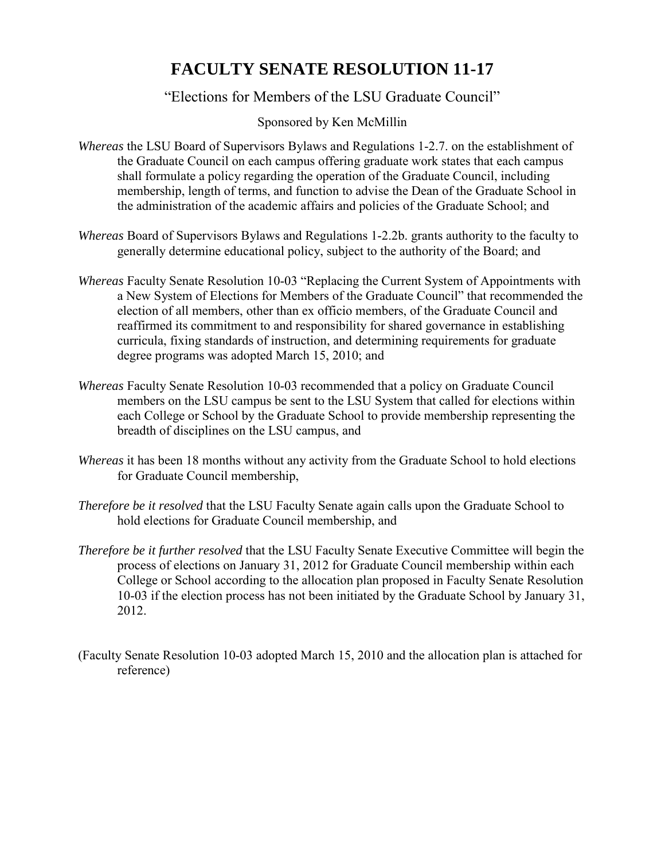## **FACULTY SENATE RESOLUTION 11-17**

## "Elections for Members of the LSU Graduate Council"

## Sponsored by Ken McMillin

- *Whereas* the LSU Board of Supervisors Bylaws and Regulations 1-2.7. on the establishment of the Graduate Council on each campus offering graduate work states that each campus shall formulate a policy regarding the operation of the Graduate Council, including membership, length of terms, and function to advise the Dean of the Graduate School in the administration of the academic affairs and policies of the Graduate School; and
- *Whereas* Board of Supervisors Bylaws and Regulations 1-2.2b. grants authority to the faculty to generally determine educational policy, subject to the authority of the Board; and
- *Whereas* Faculty Senate Resolution 10-03 "Replacing the Current System of Appointments with a New System of Elections for Members of the Graduate Council" that recommended the election of all members, other than ex officio members, of the Graduate Council and reaffirmed its commitment to and responsibility for shared governance in establishing curricula, fixing standards of instruction, and determining requirements for graduate degree programs was adopted March 15, 2010; and
- *Whereas* Faculty Senate Resolution 10-03 recommended that a policy on Graduate Council members on the LSU campus be sent to the LSU System that called for elections within each College or School by the Graduate School to provide membership representing the breadth of disciplines on the LSU campus, and
- *Whereas* it has been 18 months without any activity from the Graduate School to hold elections for Graduate Council membership,
- *Therefore be it resolved* that the LSU Faculty Senate again calls upon the Graduate School to hold elections for Graduate Council membership, and
- *Therefore be it further resolved* that the LSU Faculty Senate Executive Committee will begin the process of elections on January 31, 2012 for Graduate Council membership within each College or School according to the allocation plan proposed in Faculty Senate Resolution 10-03 if the election process has not been initiated by the Graduate School by January 31, 2012.
- (Faculty Senate Resolution 10-03 adopted March 15, 2010 and the allocation plan is attached for reference)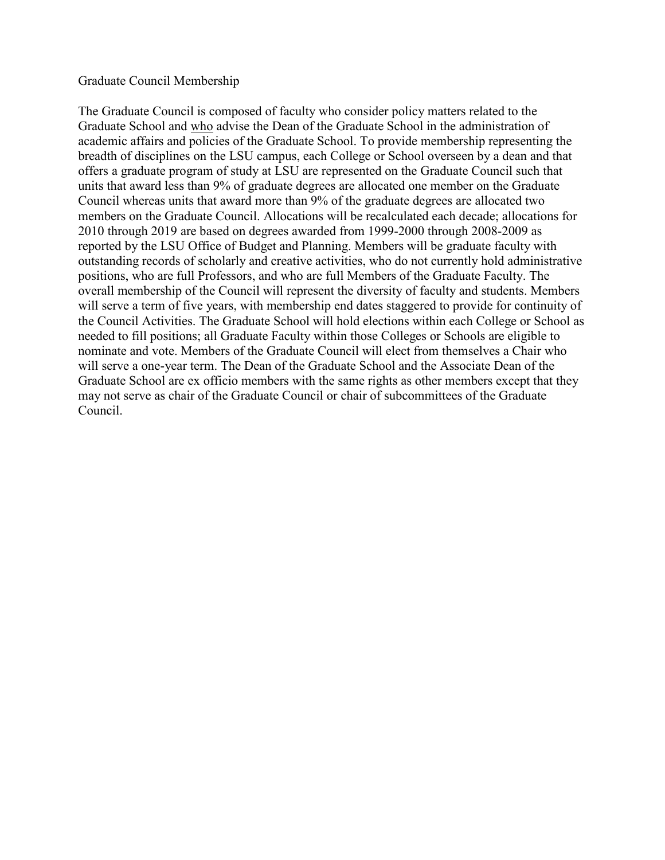## Graduate Council Membership

The Graduate Council is composed of faculty who consider policy matters related to the Graduate School and who advise the Dean of the Graduate School in the administration of academic affairs and policies of the Graduate School. To provide membership representing the breadth of disciplines on the LSU campus, each College or School overseen by a dean and that offers a graduate program of study at LSU are represented on the Graduate Council such that units that award less than 9% of graduate degrees are allocated one member on the Graduate Council whereas units that award more than 9% of the graduate degrees are allocated two members on the Graduate Council. Allocations will be recalculated each decade; allocations for 2010 through 2019 are based on degrees awarded from 1999-2000 through 2008-2009 as reported by the LSU Office of Budget and Planning. Members will be graduate faculty with outstanding records of scholarly and creative activities, who do not currently hold administrative positions, who are full Professors, and who are full Members of the Graduate Faculty. The overall membership of the Council will represent the diversity of faculty and students. Members will serve a term of five years, with membership end dates staggered to provide for continuity of the Council Activities. The Graduate School will hold elections within each College or School as needed to fill positions; all Graduate Faculty within those Colleges or Schools are eligible to nominate and vote. Members of the Graduate Council will elect from themselves a Chair who will serve a one-year term. The Dean of the Graduate School and the Associate Dean of the Graduate School are ex officio members with the same rights as other members except that they may not serve as chair of the Graduate Council or chair of subcommittees of the Graduate Council.